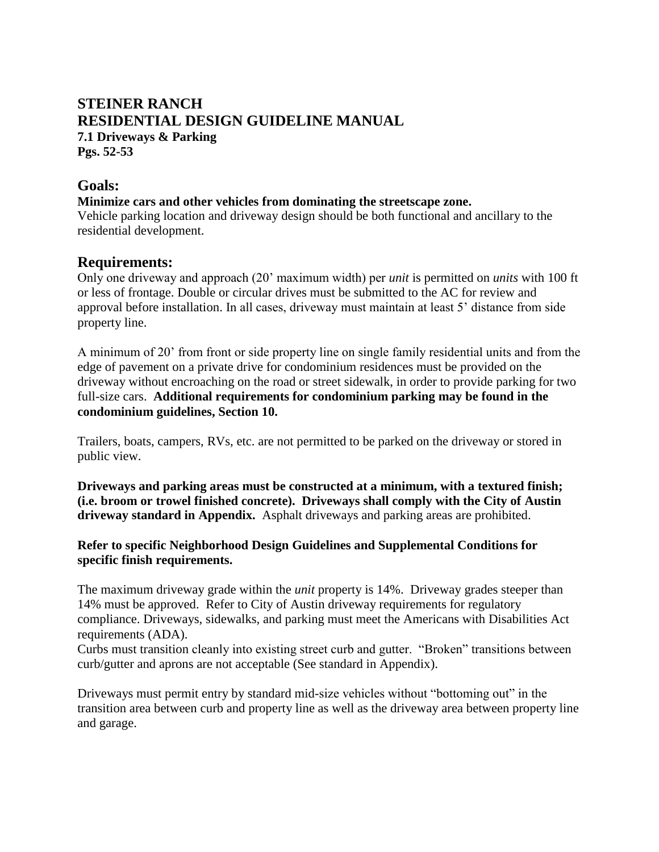# **STEINER RANCH RESIDENTIAL DESIGN GUIDELINE MANUAL 7.1 Driveways & Parking Pgs. 52-53**

## **Goals:**

#### **Minimize cars and other vehicles from dominating the streetscape zone.**

Vehicle parking location and driveway design should be both functional and ancillary to the residential development.

## **Requirements:**

Only one driveway and approach (20' maximum width) per *unit* is permitted on *units* with 100 ft or less of frontage. Double or circular drives must be submitted to the AC for review and approval before installation. In all cases, driveway must maintain at least 5' distance from side property line.

A minimum of 20' from front or side property line on single family residential units and from the edge of pavement on a private drive for condominium residences must be provided on the driveway without encroaching on the road or street sidewalk, in order to provide parking for two full-size cars. **Additional requirements for condominium parking may be found in the condominium guidelines, Section 10.** 

Trailers, boats, campers, RVs, etc. are not permitted to be parked on the driveway or stored in public view.

**Driveways and parking areas must be constructed at a minimum, with a textured finish; (i.e. broom or trowel finished concrete). Driveways shall comply with the City of Austin driveway standard in Appendix.** Asphalt driveways and parking areas are prohibited.

#### **Refer to specific Neighborhood Design Guidelines and Supplemental Conditions for specific finish requirements.**

The maximum driveway grade within the *unit* property is 14%. Driveway grades steeper than 14% must be approved. Refer to City of Austin driveway requirements for regulatory compliance. Driveways, sidewalks, and parking must meet the Americans with Disabilities Act requirements (ADA).

Curbs must transition cleanly into existing street curb and gutter. "Broken" transitions between curb/gutter and aprons are not acceptable (See standard in Appendix).

Driveways must permit entry by standard mid-size vehicles without "bottoming out" in the transition area between curb and property line as well as the driveway area between property line and garage.